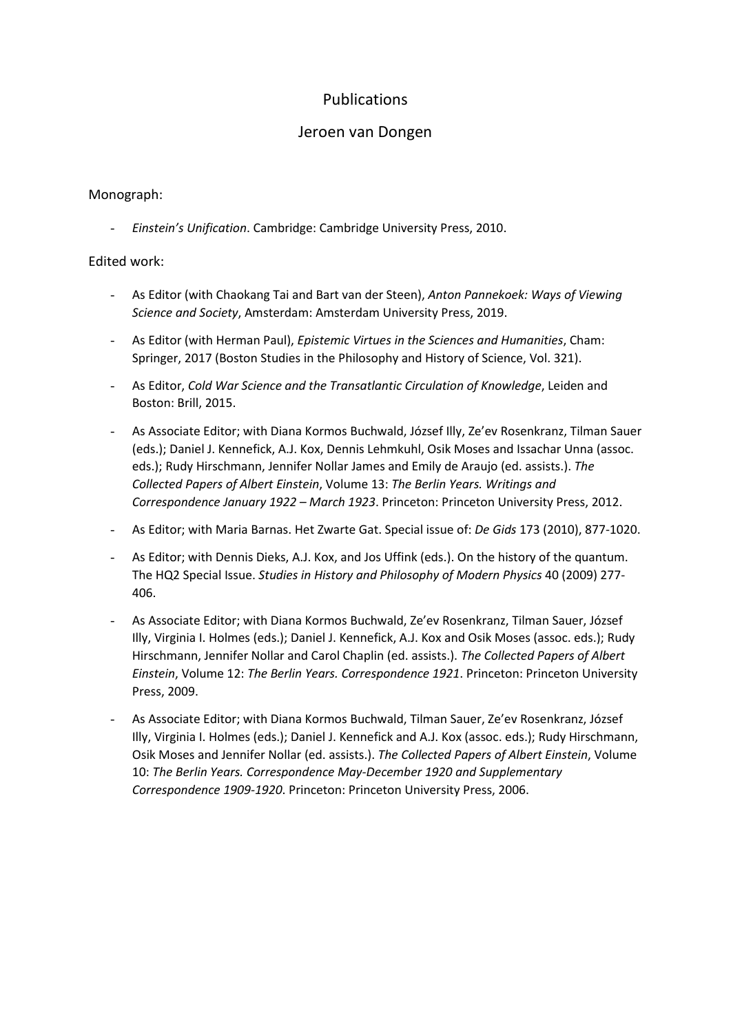# Publications

# Jeroen van Dongen

## Monograph:

- *Einstein's Unification*. Cambridge: Cambridge University Press, 2010.

### Edited work:

- As Editor (with Chaokang Tai and Bart van der Steen), *Anton Pannekoek: Ways of Viewing Science and Society*, Amsterdam: Amsterdam University Press, 2019.
- As Editor (with Herman Paul), *Epistemic Virtues in the Sciences and Humanities*, Cham: Springer, 2017 (Boston Studies in the Philosophy and History of Science, Vol. 321).
- As Editor, *Cold War Science and the Transatlantic Circulation of Knowledge*, Leiden and Boston: Brill, 2015.
- As Associate Editor; with Diana Kormos Buchwald, József Illy, Ze'ev Rosenkranz, Tilman Sauer (eds.); Daniel J. Kennefick, A.J. Kox, Dennis Lehmkuhl, Osik Moses and Issachar Unna (assoc. eds.); Rudy Hirschmann, Jennifer Nollar James and Emily de Araujo (ed. assists.). *The Collected Papers of Albert Einstein*, Volume 13: *The Berlin Years. Writings and Correspondence January 1922 – March 1923*. Princeton: Princeton University Press, 2012.
- As Editor; with Maria Barnas. Het Zwarte Gat. Special issue of: *De Gids* 173 (2010), 877-1020.
- As Editor; with Dennis Dieks, A.J. Kox, and Jos Uffink (eds.). On the history of the quantum. The HQ2 Special Issue. *Studies in History and Philosophy of Modern Physics* 40 (2009) 277- 406.
- As Associate Editor; with Diana Kormos Buchwald, Ze'ev Rosenkranz, Tilman Sauer, József Illy, Virginia I. Holmes (eds.); Daniel J. Kennefick, A.J. Kox and Osik Moses (assoc. eds.); Rudy Hirschmann, Jennifer Nollar and Carol Chaplin (ed. assists.). *The Collected Papers of Albert Einstein*, Volume 12: *The Berlin Years. Correspondence 1921*. Princeton: Princeton University Press, 2009.
- As Associate Editor; with Diana Kormos Buchwald, Tilman Sauer, Ze'ev Rosenkranz, József Illy, Virginia I. Holmes (eds.); Daniel J. Kennefick and A.J. Kox (assoc. eds.); Rudy Hirschmann, Osik Moses and Jennifer Nollar (ed. assists.). *The Collected Papers of Albert Einstein*, Volume 10: *The Berlin Years. Correspondence May-December 1920 and Supplementary Correspondence 1909-1920*. Princeton: Princeton University Press, 2006.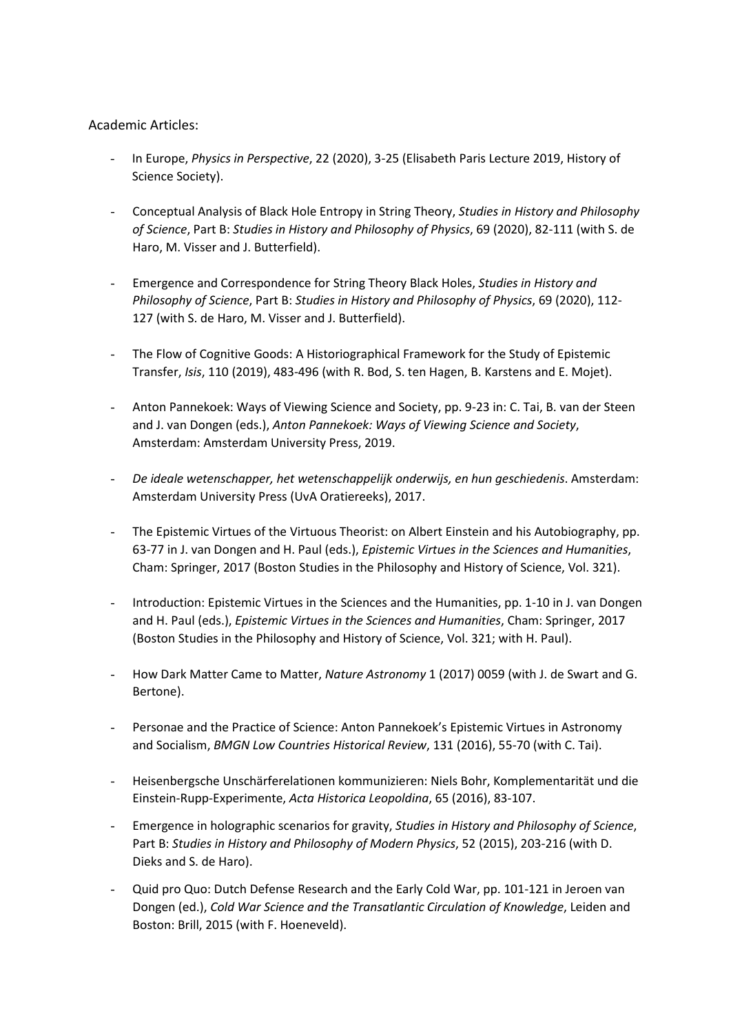#### Academic Articles:

- In Europe, *Physics in Perspective*, 22 (2020), 3-25 (Elisabeth Paris Lecture 2019, History of Science Society).
- Conceptual Analysis of Black Hole Entropy in String Theory, *Studies in History and Philosophy of Science*, Part B: *Studies in History and Philosophy of Physics*, 69 (2020), 82-111 (with S. de Haro, M. Visser and J. Butterfield).
- Emergence and Correspondence for String Theory Black Holes, *Studies in History and Philosophy of Science*, Part B: *Studies in History and Philosophy of Physics*, 69 (2020), 112- 127 (with S. de Haro, M. Visser and J. Butterfield).
- The Flow of Cognitive Goods: A Historiographical Framework for the Study of Epistemic Transfer, *Isis*, 110 (2019), 483-496 (with R. Bod, S. ten Hagen, B. Karstens and E. Mojet).
- Anton Pannekoek: Ways of Viewing Science and Society, pp. 9-23 in: C. Tai, B. van der Steen and J. van Dongen (eds.), *Anton Pannekoek: Ways of Viewing Science and Society*, Amsterdam: Amsterdam University Press, 2019.
- *De ideale wetenschapper, het wetenschappelijk onderwijs, en hun geschiedenis*. Amsterdam: Amsterdam University Press (UvA Oratiereeks), 2017.
- The Epistemic Virtues of the Virtuous Theorist: on Albert Einstein and his Autobiography, pp. 63-77 in J. van Dongen and H. Paul (eds.), *Epistemic Virtues in the Sciences and Humanities*, Cham: Springer, 2017 (Boston Studies in the Philosophy and History of Science, Vol. 321).
- Introduction: Epistemic Virtues in the Sciences and the Humanities, pp. 1-10 in J. van Dongen and H. Paul (eds.), *Epistemic Virtues in the Sciences and Humanities*, Cham: Springer, 2017 (Boston Studies in the Philosophy and History of Science, Vol. 321; with H. Paul).
- How Dark Matter Came to Matter, *Nature Astronomy* 1 (2017) 0059 (with J. de Swart and G. Bertone).
- Personae and the Practice of Science: Anton Pannekoek's Epistemic Virtues in Astronomy and Socialism, *BMGN Low Countries Historical Review*, 131 (2016), 55-70 (with C. Tai).
- Heisenbergsche Unschärferelationen kommunizieren: Niels Bohr, Komplementarität und die Einstein-Rupp-Experimente, *Acta Historica Leopoldina*, 65 (2016), 83-107.
- Emergence in holographic scenarios for gravity, *Studies in History and Philosophy of Science*, Part B: *Studies in History and Philosophy of Modern Physics*, 52 (2015), 203-216 (with D. Dieks and S. de Haro).
- Quid pro Quo: Dutch Defense Research and the Early Cold War, pp. 101-121 in Jeroen van Dongen (ed.), *Cold War Science and the Transatlantic Circulation of Knowledge*, Leiden and Boston: Brill, 2015 (with F. Hoeneveld).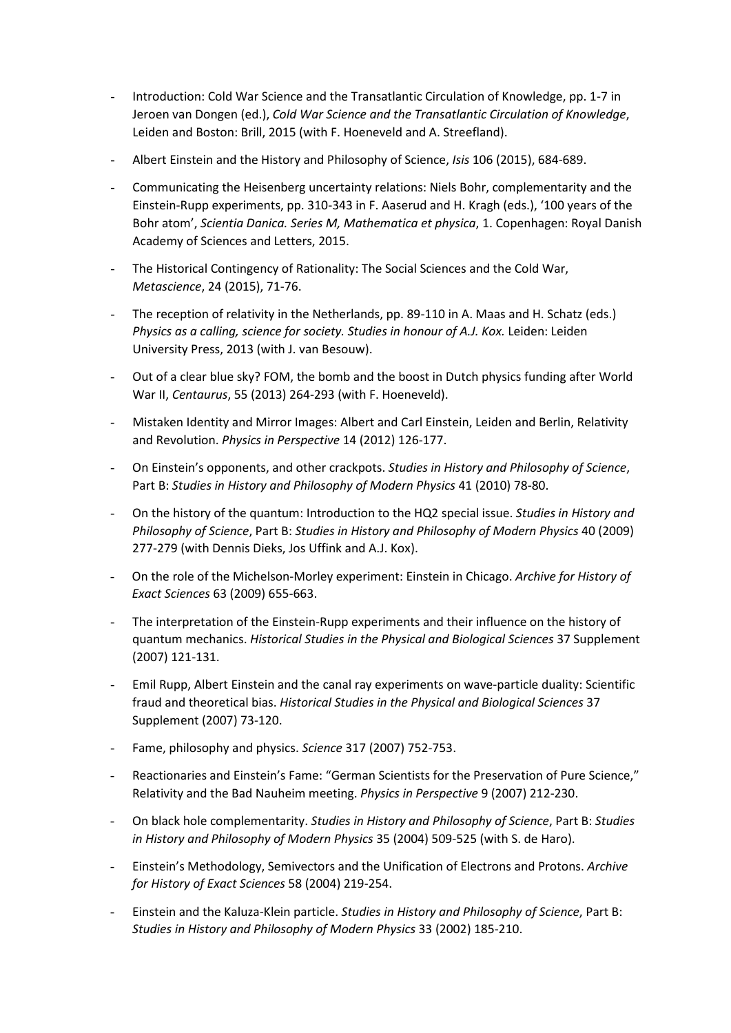- Introduction: Cold War Science and the Transatlantic Circulation of Knowledge, pp. 1-7 in Jeroen van Dongen (ed.), *Cold War Science and the Transatlantic Circulation of Knowledge*, Leiden and Boston: Brill, 2015 (with F. Hoeneveld and A. Streefland).
- Albert Einstein and the History and Philosophy of Science, *Isis* 106 (2015), 684-689.
- Communicating the Heisenberg uncertainty relations: Niels Bohr, complementarity and the Einstein-Rupp experiments, pp. 310-343 in F. Aaserud and H. Kragh (eds.), '100 years of the Bohr atom', *Scientia Danica. Series M, Mathematica et physica*, 1. Copenhagen: Royal Danish Academy of Sciences and Letters, 2015.
- The Historical Contingency of Rationality: The Social Sciences and the Cold War, *Metascience*, 24 (2015), 71-76.
- The reception of relativity in the Netherlands, pp. 89-110 in A. Maas and H. Schatz (eds.) *Physics as a calling, science for society. Studies in honour of A.J. Kox.* Leiden: Leiden University Press, 2013 (with J. van Besouw).
- Out of a clear blue sky? FOM, the bomb and the boost in Dutch physics funding after World War II, *Centaurus*, 55 (2013) 264-293 (with F. Hoeneveld).
- Mistaken Identity and Mirror Images: Albert and Carl Einstein, Leiden and Berlin, Relativity and Revolution. *Physics in Perspective* 14 (2012) 126-177.
- On Einstein's opponents, and other crackpots. *Studies in History and Philosophy of Science*, Part B: *Studies in History and Philosophy of Modern Physics* 41 (2010) 78-80.
- On the history of the quantum: Introduction to the HQ2 special issue. *Studies in History and Philosophy of Science*, Part B: *Studies in History and Philosophy of Modern Physics* 40 (2009) 277-279 (with Dennis Dieks, Jos Uffink and A.J. Kox).
- On the role of the Michelson-Morley experiment: Einstein in Chicago. *Archive for History of Exact Sciences* 63 (2009) 655-663.
- The interpretation of the Einstein-Rupp experiments and their influence on the history of quantum mechanics. *Historical Studies in the Physical and Biological Sciences* 37 Supplement (2007) 121-131.
- Emil Rupp, Albert Einstein and the canal ray experiments on wave-particle duality: Scientific fraud and theoretical bias. *Historical Studies in the Physical and Biological Sciences* 37 Supplement (2007) 73-120.
- Fame, philosophy and physics. *Science* 317 (2007) 752-753.
- Reactionaries and Einstein's Fame: "German Scientists for the Preservation of Pure Science," Relativity and the Bad Nauheim meeting. *Physics in Perspective* 9 (2007) 212-230.
- On black hole complementarity. *Studies in History and Philosophy of Science*, Part B: *Studies in History and Philosophy of Modern Physics* 35 (2004) 509-525 (with S. de Haro).
- Einstein's Methodology, Semivectors and the Unification of Electrons and Protons. *Archive for History of Exact Sciences* 58 (2004) 219-254.
- Einstein and the Kaluza-Klein particle. *Studies in History and Philosophy of Science*, Part B: *Studies in History and Philosophy of Modern Physics* 33 (2002) 185-210.